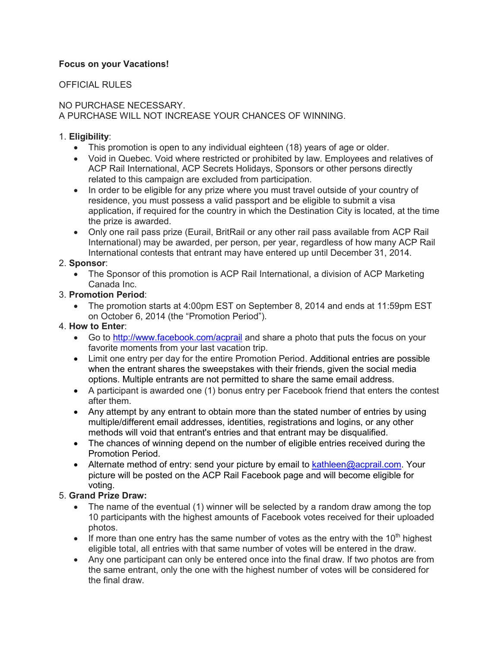# **Focus on your Vacations!**

### OFFICIAL RULES

#### NO PURCHASE NECESSARY. A PURCHASE WILL NOT INCREASE YOUR CHANCES OF WINNING.

#### 1. **Eligibility**:

- This promotion is open to any individual eighteen (18) years of age or older.
- Void in Quebec. Void where restricted or prohibited by law. Employees and relatives of ACP Rail International, ACP Secrets Holidays, Sponsors or other persons directly related to this campaign are excluded from participation.
- In order to be eligible for any prize where you must travel outside of your country of residence, you must possess a valid passport and be eligible to submit a visa application, if required for the country in which the Destination City is located, at the time the prize is awarded.
- Only one rail pass prize (Eurail, BritRail or any other rail pass available from ACP Rail International) may be awarded, per person, per year, regardless of how many ACP Rail International contests that entrant may have entered up until December 31, 2014.

### 2. **Sponsor**:

 The Sponsor of this promotion is ACP Rail International, a division of ACP Marketing Canada Inc.

### 3. **Promotion Period**:

 The promotion starts at 4:00pm EST on September 8, 2014 and ends at 11:59pm EST on October 6, 2014 (the "Promotion Period").

#### 4. **How to Enter**:

- Go to<http://www.facebook.com/acprail> and share a photo that puts the focus on your favorite moments from your last vacation trip.
- Limit one entry per day for the entire Promotion Period. Additional entries are possible when the entrant shares the sweepstakes with their friends, given the social media options. Multiple entrants are not permitted to share the same email address.
- A participant is awarded one (1) bonus entry per Facebook friend that enters the contest after them.
- Any attempt by any entrant to obtain more than the stated number of entries by using multiple/different email addresses, identities, registrations and logins, or any other methods will void that entrant's entries and that entrant may be disqualified.
- The chances of winning depend on the number of eligible entries received during the Promotion Period.
- Alternate method of entry: send your picture by email to [kathleen@acprail.com.](kathleen@acprail.com) Your picture will be posted on the ACP Rail Facebook page and will become eligible for voting.

# 5. **Grand Prize Draw:**

- The name of the eventual (1) winner will be selected by a random draw among the top 10 participants with the highest amounts of Facebook votes received for their uploaded photos.
- If more than one entry has the same number of votes as the entry with the  $10<sup>th</sup>$  highest eligible total, all entries with that same number of votes will be entered in the draw.
- Any one participant can only be entered once into the final draw. If two photos are from the same entrant, only the one with the highest number of votes will be considered for the final draw.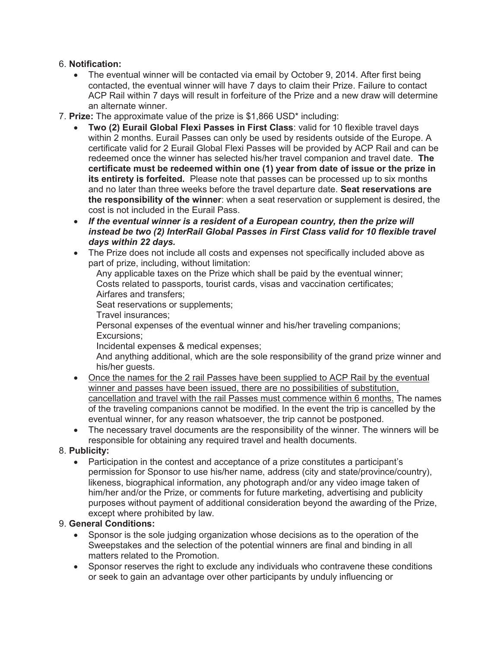### 6. **Notification:**

- The eventual winner will be contacted via email by October 9, 2014. After first being contacted, the eventual winner will have 7 days to claim their Prize. Failure to contact ACP Rail within 7 days will result in forfeiture of the Prize and a new draw will determine an alternate winner.
- 7. **Prize:** The approximate value of the prize is \$1,866 USD\* including:
	- **Two (2) Eurail Global Flexi Passes in First Class**: valid for 10 flexible travel days within 2 months. Eurail Passes can only be used by residents outside of the Europe. A certificate valid for 2 Eurail Global Flexi Passes will be provided by ACP Rail and can be redeemed once the winner has selected his/her travel companion and travel date. **The certificate must be redeemed within one (1) year from date of issue or the prize in its entirety is forfeited.** Please note that passes can be processed up to six months and no later than three weeks before the travel departure date. **Seat reservations are the responsibility of the winner**: when a seat reservation or supplement is desired, the cost is not included in the Eurail Pass.
	- If the eventual winner is a resident of a European country, then the prize will *instead be two (2) InterRail Global Passes in First Class valid for 10 flexible travel days within 22 days.*
	- The Prize does not include all costs and expenses not specifically included above as part of prize, including, without limitation:

Any applicable taxes on the Prize which shall be paid by the eventual winner; Costs related to passports, tourist cards, visas and vaccination certificates; Airfares and transfers;

Seat reservations or supplements;

Travel insurances;

Personal expenses of the eventual winner and his/her traveling companions; Excursions;

Incidental expenses & medical expenses;

And anything additional, which are the sole responsibility of the grand prize winner and his/her quests.

- Once the names for the 2 rail Passes have been supplied to ACP Rail by the eventual winner and passes have been issued, there are no possibilities of substitution, cancellation and travel with the rail Passes must commence within 6 months. The names of the traveling companions cannot be modified. In the event the trip is cancelled by the eventual winner, for any reason whatsoever, the trip cannot be postponed.
- The necessary travel documents are the responsibility of the winner. The winners will be responsible for obtaining any required travel and health documents.

# 8. **Publicity:**

 Participation in the contest and acceptance of a prize constitutes a participant's permission for Sponsor to use his/her name, address (city and state/province/country), likeness, biographical information, any photograph and/or any video image taken of him/her and/or the Prize, or comments for future marketing, advertising and publicity purposes without payment of additional consideration beyond the awarding of the Prize, except where prohibited by law.

# 9. **General Conditions:**

- Sponsor is the sole judging organization whose decisions as to the operation of the Sweepstakes and the selection of the potential winners are final and binding in all matters related to the Promotion.
- Sponsor reserves the right to exclude any individuals who contravene these conditions or seek to gain an advantage over other participants by unduly influencing or